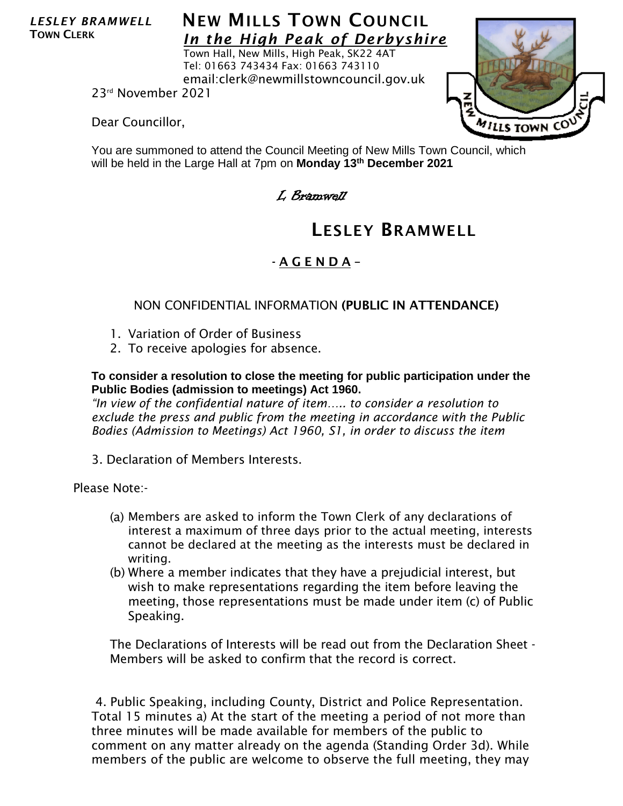*LESLEY BRAMWELL* TOWN CLERK

## **NEW MILLS TOWN COUNCIL** *In the High Peak of Derbyshire*

Town Hall, New Mills, High Peak, SK22 4AT Tel: 01663 743434 Fax: 01663 743110 email:clerk@newmillstowncouncil.gov.uk

23rd November 2021

Dear Councillor,



You are summoned to attend the Council Meeting of New Mills Town Council, which will be held in the Large Hall at 7pm on **Monday 13th December 2021**

L Bramwell

# LESLEY BRAMWELL

## - A G E N D A –

#### NON CONFIDENTIAL INFORMATION (PUBLIC IN ATTENDANCE)

- 1. Variation of Order of Business
- 2. To receive apologies for absence.

#### **To consider a resolution to close the meeting for public participation under the Public Bodies (admission to meetings) Act 1960.**

*"In view of the confidential nature of item….. to consider a resolution to exclude the press and public from the meeting in accordance with the Public Bodies (Admission to Meetings) Act 1960, S1, in order to discuss the item*

3. Declaration of Members Interests.

Please Note:-

- (a) Members are asked to inform the Town Clerk of any declarations of interest a maximum of three days prior to the actual meeting, interests cannot be declared at the meeting as the interests must be declared in writing.
- (b) Where a member indicates that they have a prejudicial interest, but wish to make representations regarding the item before leaving the meeting, those representations must be made under item (c) of Public Speaking.

The Declarations of Interests will be read out from the Declaration Sheet - Members will be asked to confirm that the record is correct.

4. Public Speaking, including County, District and Police Representation. Total 15 minutes a) At the start of the meeting a period of not more than three minutes will be made available for members of the public to comment on any matter already on the agenda (Standing Order 3d). While members of the public are welcome to observe the full meeting, they may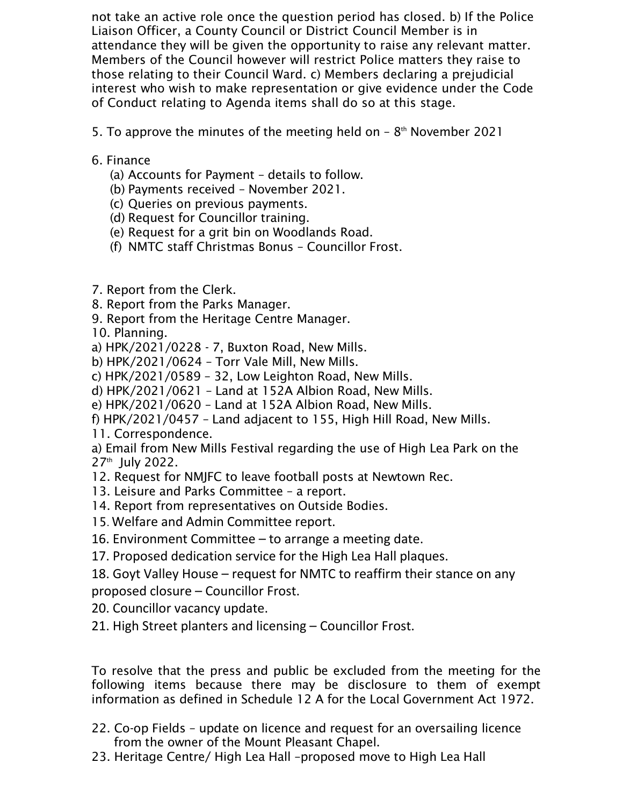not take an active role once the question period has closed. b) If the Police Liaison Officer, a County Council or District Council Member is in attendance they will be given the opportunity to raise any relevant matter. Members of the Council however will restrict Police matters they raise to those relating to their Council Ward. c) Members declaring a prejudicial interest who wish to make representation or give evidence under the Code of Conduct relating to Agenda items shall do so at this stage.

5. To approve the minutes of the meeting held on  $-8<sup>th</sup>$  November 2021

- 6. Finance
	- (a) Accounts for Payment details to follow.
	- (b) Payments received November 2021.
	- (c) Queries on previous payments.
	- (d) Request for Councillor training.
	- (e) Request for a grit bin on Woodlands Road.
	- (f) NMTC staff Christmas Bonus Councillor Frost.
- 7. Report from the Clerk.
- 8. Report from the Parks Manager.
- 9. Report from the Heritage Centre Manager.
- 10. Planning.
- a) HPK/2021/0228 7, Buxton Road, New Mills.
- b) HPK/2021/0624 Torr Vale Mill, New Mills.
- c) HPK/2021/0589 32, Low Leighton Road, New Mills.
- d) HPK/2021/0621 Land at 152A Albion Road, New Mills.
- e) HPK/2021/0620 Land at 152A Albion Road, New Mills.
- f) HPK/2021/0457 Land adjacent to 155, High Hill Road, New Mills.
- 11. Correspondence.
- a) Email from New Mills Festival regarding the use of High Lea Park on the 27th July 2022.
- 12. Request for NMJFC to leave football posts at Newtown Rec.
- 13. Leisure and Parks Committee a report.
- 14. Report from representatives on Outside Bodies.
- 15. Welfare and Admin Committee report.
- 16. Environment Committee to arrange a meeting date.
- 17. Proposed dedication service for the High Lea Hall plaques.
- 18. Goyt Valley House request for NMTC to reaffirm their stance on any proposed closure – Councillor Frost.
- 20. Councillor vacancy update.
- 21. High Street planters and licensing Councillor Frost.

To resolve that the press and public be excluded from the meeting for the following items because there may be disclosure to them of exempt information as defined in Schedule 12 A for the Local Government Act 1972.

- 22. Co-op Fields update on licence and request for an oversailing licence from the owner of the Mount Pleasant Chapel.
- 23. Heritage Centre/ High Lea Hall –proposed move to High Lea Hall